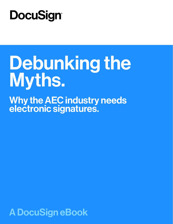## **DocuSign®**

# Debunking the Myths.

Why the AEC industry needs electronic signatures.

A DocuSign eBook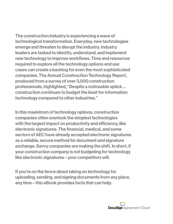The construction industry is experiencing a wave of technological transformation. Everyday, new technologies emerge and threaten to disrupt the industry. Industry leaders are tasked to identify, understand, and implement new technology to improve workflows. Time and resources required to explore all the technology options and use cases can create a backlog for even the most sophisticated companies. The Annual Construction Technology Report, produced from a survey of over 3,000 construction professionals, highlighted, "Despite a noticeable uptick … construction continues to budget the least for information technology compared to other industries."

In this maelstrom of technology options, construction companies often overlook the simplest technologies with the largest impact on productivity and efficiency, like electronic signatures. The financial, medical, and some sectors of AEC have already accepted electronic signatures as a reliable, secure method for document and signature exchange. Savvy companies are making the shift. In short, if your construction company is not budgeting for technology like electronic signatures – your competitors will.

If you're on the fence about taking on technology for uploading, sending, and signing documents from any place, any time – this eBook provides facts that can help.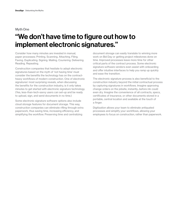#### Myth One

## "We don't have time to figure out how to implement electronic signatures."

Consider how many minutes are invested in manual, paper processes: Printing. Scanning. Attaching. Filing. Faxing. Duplicating. Signing. Mailing. Couriering. Delivering. Reading. Repeating.

Construction companies that hesitate to adopt electronic signatures based on the myth of 'not having time' must consider the benefits the technology has on the contractheavy workflows of modern construction. One of electronic signatures' most surprising reveals, when discussing the benefits for the construction industry, is it only takes minutes to get started with electronic signature technology. (Yes, less-than-tech-savvy users can set-up and be ready to upload, sign, and send documents in no time.)

Some electronic signature software options also include cloud storage features for document storage. This way, construction companies can eliminate rifling through extra paperwork, thus saving time, increasing efficiency, and simplifying the workflow. Preserving time and centralizing

document storage can easily translate to winning more work on Bid Day or getting project milestones done on time. Improved processes leave more time for other critical parts of the contract process. Some electronic signature software vendors even assist with onboarding and offer intuitive interfaces to help you ramp up quickly and ease the transition.

The electronic signature process is also beneficial to the construction industry beyond the initial contractual process by capturing signatures in workflows. Imagine approving change orders on the jobsite, instantly...before ink could even dry. Imagine the convenience of all contracts, specs, certificates of insurance, or other documents stored in a portable, central location and available at the touch of a finger.

Digitization allows your team to eliminate antiquated processes and simplify your workflows, allowing your employees to focus on construction, rather than paperwork.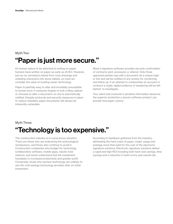## "Paper is just more secure." Myth Two

It's human nature to be attached to writing on paper, humans have written on paper as early as 25 B.C. However, just as our ancestors retired from cave drawings and chiseling characters into stone tablets, so must we consider the value of trusting newer technology.

Paper is painfully easy to alter and incredibly susceptible to human error, if someone forgets to lock a filing cabinet or chooses to alter a document, no one is automatically notified. Despite protocols and security measures in place to reduce mistakes, paper documents will always be inherently vulnerable.

Most e-signature software provides security confirmation of contracts sent, accessed, or altered. Only those approved parties may edit a document via a unique login or link and will be notified of any activity for monitoring and follow up. If an attempt to compromise an account or contract is made, digital evidence of tampering will be left behind to investigate.

Your client and customer's sensitive information deserves the superior protection a secure software product can provide that paper cannot.

## Myth Three "Technology is too expensive."

The construction industry is in a precarious situation. There are those who are embracing the technological renaissance...and those who continue to avoid it. Construction companies who budget for technology (collaborative software, mobile apps, robotic total stations, and more) understand that the investment translates to increased productivity and greater profit. Conversely, those who eschew technology are unlikely to see the cost-savings technology provides after an initial investment.

According to feedback gathered from the industry, eliminating the hard costs of paper, copier usage and postage more than paid for the cost of the electronic signature solutions. Electronic signature solutions deliver a rapid and high ROI including both hard cost savings, time savings and a reduction in both errors and overall risk.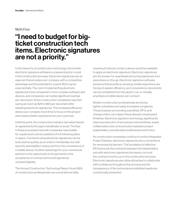#### Myth Four

## "I need to budget for bigticket construction tech items. Electronic signatures are not a priority."

In the hierarchy of construction technology, the humble electronic signature software is unassuming but crucial in the construction process. Electronic signatures are an easy win that provides your company with a competitive advantage and the potential for a quick ROI to grow exponentially. The cost of implementing electronic signatures is low compared to more complex software and devices, and companies can realize significant savings per-document. Some construction companies reported saving as much as \$25 to \$65 per document after adopting electronic signatures. The increased efficiency allows your company more time to focus on the project and create a better experience for your customer.

Until this point, the construction industry has relied heavily on agreements through a handshake or email. The flaw in these processes have left companies responsible for unpaid work and accusations of not following plans or specs. Contracts using electronic signatures can be executed as quickly as an email or handshake, but with security and stability in place and from the convenience of a mobile device. Another advantage for your contractual partners is the opportunity to tie payments to the acceptance of contract terms and signatures received digitally.

The Annual Construction Technology Report found 98% of construction professionals use a smartphone daily,

meaning it's almost certain a device would be available to apply an electronic signature. Electronic signatures are the answer for seamlessly procuring signatures from executives on-the-go. Electronic signature software solutions that provide an amazing mobile experience are the key to speed, efficiency, and convenience; documents can be completed from the airport, car, or virtually anywhere a mobile device can connect.

Modern construction professionals are facing tighter schedules and vastly increased complexity. The processes surrounding submittals, RFI's, and change orders can impact these already compressed timelines. Electronic signature technology significantly improves execution of processes and workflows, eases collaboration and communication between project stakeholders, and alleviates bottlenecks and friction.

As construction companies continue to evolve Integrated Project Delivery, electronic signatures are a cornerstone for removing the barriers. The foundation of effective IPD teams are the contracts between the stakeholders and with electronic signatures the teams can trust the contracts and focus on the construction process. Electronic signatures also allow all parties to collaborate with confidence throughout the process and the transparency of the tools ensures individual needs are contractually protected.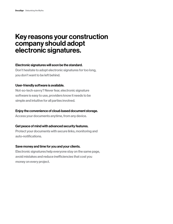## Key reasons your construction company should adopt electronic signatures.

#### Electronic signatures will soon be the standard.

Don't hesitate to adopt electronic signatures for too long, you don't want to be left behind.

#### User-friendly software is available.

Not-so-tech-savvy? Never fear, electronic signature software is easy to use, providers know it needs to be simple and intuitive for all parties involved.

## Enjoy the convenience of cloud-based document storage.

Access your documents anytime, from any device.

#### Get peace of mind with advanced security features.

Protect your documents with secure links, monitoring and auto-notifications.

## Save money and time for you and your clients.

Electronic signatures help everyone stay on the same page, avoid mistakes and reduce inefficiencies that cost you money on every project.